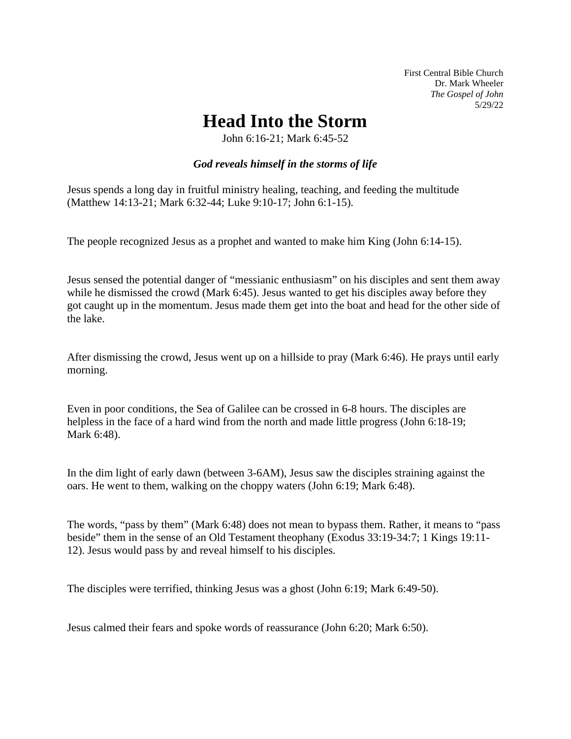First Central Bible Church Dr. Mark Wheeler *The Gospel of John*  5/29/22

## **Head Into the Storm**

John 6:16-21; Mark 6:45-52

## *God reveals himself in the storms of life*

Jesus spends a long day in fruitful ministry healing, teaching, and feeding the multitude (Matthew 14:13-21; Mark 6:32-44; Luke 9:10-17; John 6:1-15).

The people recognized Jesus as a prophet and wanted to make him King (John 6:14-15).

Jesus sensed the potential danger of "messianic enthusiasm" on his disciples and sent them away while he dismissed the crowd (Mark 6:45). Jesus wanted to get his disciples away before they got caught up in the momentum. Jesus made them get into the boat and head for the other side of the lake.

After dismissing the crowd, Jesus went up on a hillside to pray (Mark 6:46). He prays until early morning.

Even in poor conditions, the Sea of Galilee can be crossed in 6-8 hours. The disciples are helpless in the face of a hard wind from the north and made little progress (John 6:18-19; Mark 6:48).

In the dim light of early dawn (between 3-6AM), Jesus saw the disciples straining against the oars. He went to them, walking on the choppy waters (John 6:19; Mark 6:48).

The words, "pass by them" (Mark 6:48) does not mean to bypass them. Rather, it means to "pass beside" them in the sense of an Old Testament theophany (Exodus 33:19-34:7; 1 Kings 19:11- 12). Jesus would pass by and reveal himself to his disciples.

The disciples were terrified, thinking Jesus was a ghost (John 6:19; Mark 6:49-50).

Jesus calmed their fears and spoke words of reassurance (John 6:20; Mark 6:50).